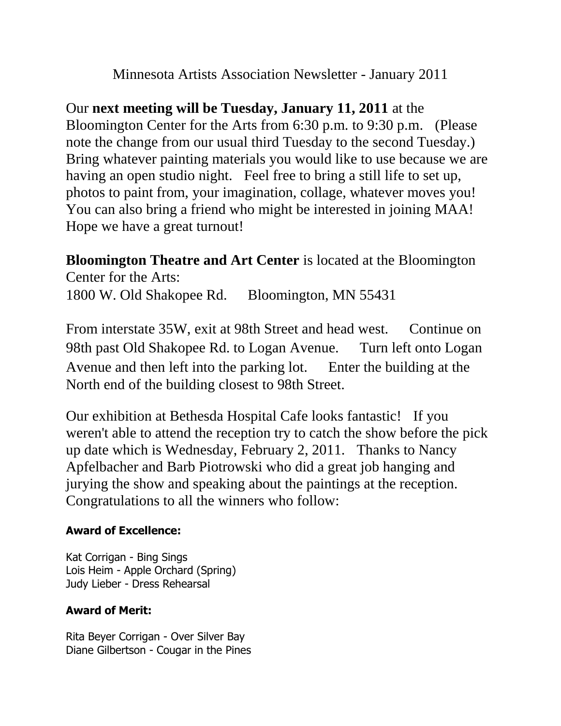Minnesota Artists Association Newsletter - January 2011

Our **next meeting will be Tuesday, January 11, 2011** at the Bloomington Center for the Arts from 6:30 p.m. to 9:30 p.m. (Please note the change from our usual third Tuesday to the second Tuesday.) Bring whatever painting materials you would like to use because we are having an open studio night. Feel free to bring a still life to set up, photos to paint from, your imagination, collage, whatever moves you! You can also bring a friend who might be interested in joining MAA! Hope we have a great turnout!

**Bloomington Theatre and Art Center** is located at the Bloomington Center for the Arts:

1800 W. Old Shakopee Rd. Bloomington, MN 55431

From interstate 35W, exit at 98th Street and head west. Continue on 98th past Old Shakopee Rd. to Logan Avenue. Turn left onto Logan Avenue and then left into the parking lot. Enter the building at the North end of the building closest to 98th Street.

Our exhibition at Bethesda Hospital Cafe looks fantastic! If you weren't able to attend the reception try to catch the show before the pick up date which is Wednesday, February 2, 2011. Thanks to Nancy Apfelbacher and Barb Piotrowski who did a great job hanging and jurying the show and speaking about the paintings at the reception. Congratulations to all the winners who follow:

## **Award of Excellence:**

Kat Corrigan - Bing Sings Lois Heim - Apple Orchard (Spring) Judy Lieber - Dress Rehearsal

## **Award of Merit:**

Rita Beyer Corrigan - Over Silver Bay Diane Gilbertson - Cougar in the Pines